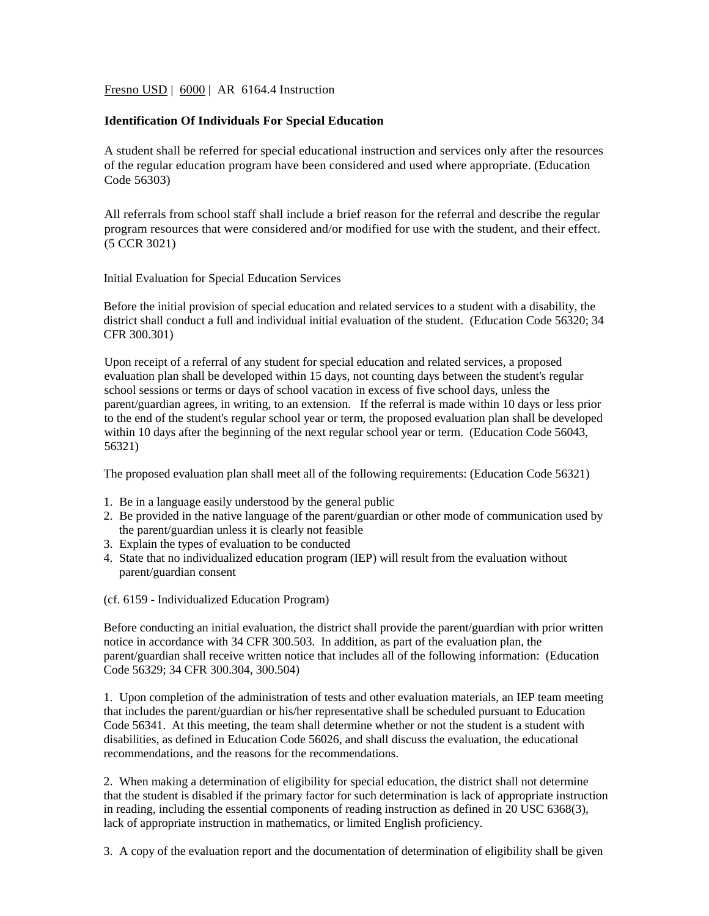Fresno USD | 6000 | AR 6164.4 Instruction

# **Identification Of Individuals For Special Education**

A student shall be referred for special educational instruction and services only after the resources of the regular education program have been considered and used where appropriate. (Education Code 56303)

All referrals from school staff shall include a brief reason for the referral and describe the regular program resources that were considered and/or modified for use with the student, and their effect. (5 CCR 3021)

Initial Evaluation for Special Education Services

Before the initial provision of special education and related services to a student with a disability, the district shall conduct a full and individual initial evaluation of the student. (Education Code 56320; 34 CFR 300.301)

Upon receipt of a referral of any student for special education and related services, a proposed evaluation plan shall be developed within 15 days, not counting days between the student's regular school sessions or terms or days of school vacation in excess of five school days, unless the parent/guardian agrees, in writing, to an extension. If the referral is made within 10 days or less prior to the end of the student's regular school year or term, the proposed evaluation plan shall be developed within 10 days after the beginning of the next regular school year or term. (Education Code 56043, 56321)

The proposed evaluation plan shall meet all of the following requirements: (Education Code 56321)

- 1. Be in a language easily understood by the general public
- 2. Be provided in the native language of the parent/guardian or other mode of communication used by the parent/guardian unless it is clearly not feasible
- 3. Explain the types of evaluation to be conducted
- 4. State that no individualized education program (IEP) will result from the evaluation without parent/guardian consent
- (cf. 6159 Individualized Education Program)

Before conducting an initial evaluation, the district shall provide the parent/guardian with prior written notice in accordance with 34 CFR 300.503. In addition, as part of the evaluation plan, the parent/guardian shall receive written notice that includes all of the following information: (Education Code 56329; 34 CFR 300.304, 300.504)

1. Upon completion of the administration of tests and other evaluation materials, an IEP team meeting that includes the parent/guardian or his/her representative shall be scheduled pursuant to Education Code 56341. At this meeting, the team shall determine whether or not the student is a student with disabilities, as defined in Education Code 56026, and shall discuss the evaluation, the educational recommendations, and the reasons for the recommendations.

2. When making a determination of eligibility for special education, the district shall not determine that the student is disabled if the primary factor for such determination is lack of appropriate instruction in reading, including the essential components of reading instruction as defined in 20 USC 6368(3), lack of appropriate instruction in mathematics, or limited English proficiency.

3. A copy of the evaluation report and the documentation of determination of eligibility shall be given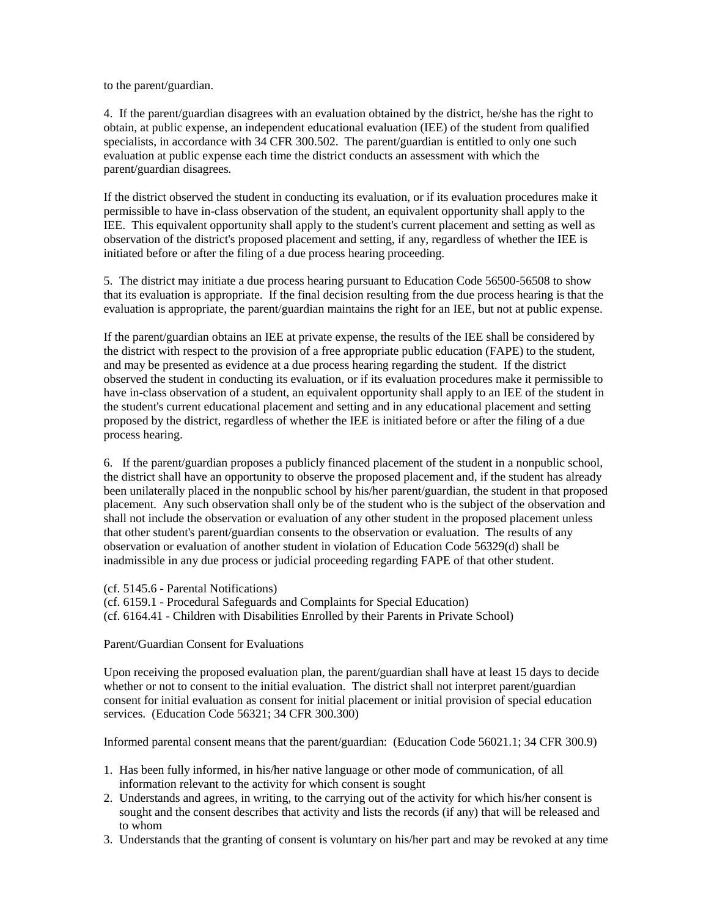to the parent/guardian.

4. If the parent/guardian disagrees with an evaluation obtained by the district, he/she has the right to obtain, at public expense, an independent educational evaluation (IEE) of the student from qualified specialists, in accordance with 34 CFR 300.502. The parent/guardian is entitled to only one such evaluation at public expense each time the district conducts an assessment with which the parent/guardian disagrees.

If the district observed the student in conducting its evaluation, or if its evaluation procedures make it permissible to have in-class observation of the student, an equivalent opportunity shall apply to the IEE. This equivalent opportunity shall apply to the student's current placement and setting as well as observation of the district's proposed placement and setting, if any, regardless of whether the IEE is initiated before or after the filing of a due process hearing proceeding.

5. The district may initiate a due process hearing pursuant to Education Code 56500-56508 to show that its evaluation is appropriate. If the final decision resulting from the due process hearing is that the evaluation is appropriate, the parent/guardian maintains the right for an IEE, but not at public expense.

If the parent/guardian obtains an IEE at private expense, the results of the IEE shall be considered by the district with respect to the provision of a free appropriate public education (FAPE) to the student, and may be presented as evidence at a due process hearing regarding the student. If the district observed the student in conducting its evaluation, or if its evaluation procedures make it permissible to have in-class observation of a student, an equivalent opportunity shall apply to an IEE of the student in the student's current educational placement and setting and in any educational placement and setting proposed by the district, regardless of whether the IEE is initiated before or after the filing of a due process hearing.

6. If the parent/guardian proposes a publicly financed placement of the student in a nonpublic school, the district shall have an opportunity to observe the proposed placement and, if the student has already been unilaterally placed in the nonpublic school by his/her parent/guardian, the student in that proposed placement. Any such observation shall only be of the student who is the subject of the observation and shall not include the observation or evaluation of any other student in the proposed placement unless that other student's parent/guardian consents to the observation or evaluation. The results of any observation or evaluation of another student in violation of Education Code 56329(d) shall be inadmissible in any due process or judicial proceeding regarding FAPE of that other student.

- (cf. 5145.6 Parental Notifications)
- (cf. 6159.1 Procedural Safeguards and Complaints for Special Education)
- (cf. 6164.41 Children with Disabilities Enrolled by their Parents in Private School)

Parent/Guardian Consent for Evaluations

Upon receiving the proposed evaluation plan, the parent/guardian shall have at least 15 days to decide whether or not to consent to the initial evaluation. The district shall not interpret parent/guardian consent for initial evaluation as consent for initial placement or initial provision of special education services. (Education Code 56321; 34 CFR 300.300)

Informed parental consent means that the parent/guardian: (Education Code 56021.1; 34 CFR 300.9)

- 1. Has been fully informed, in his/her native language or other mode of communication, of all information relevant to the activity for which consent is sought
- 2. Understands and agrees, in writing, to the carrying out of the activity for which his/her consent is sought and the consent describes that activity and lists the records (if any) that will be released and to whom
- 3. Understands that the granting of consent is voluntary on his/her part and may be revoked at any time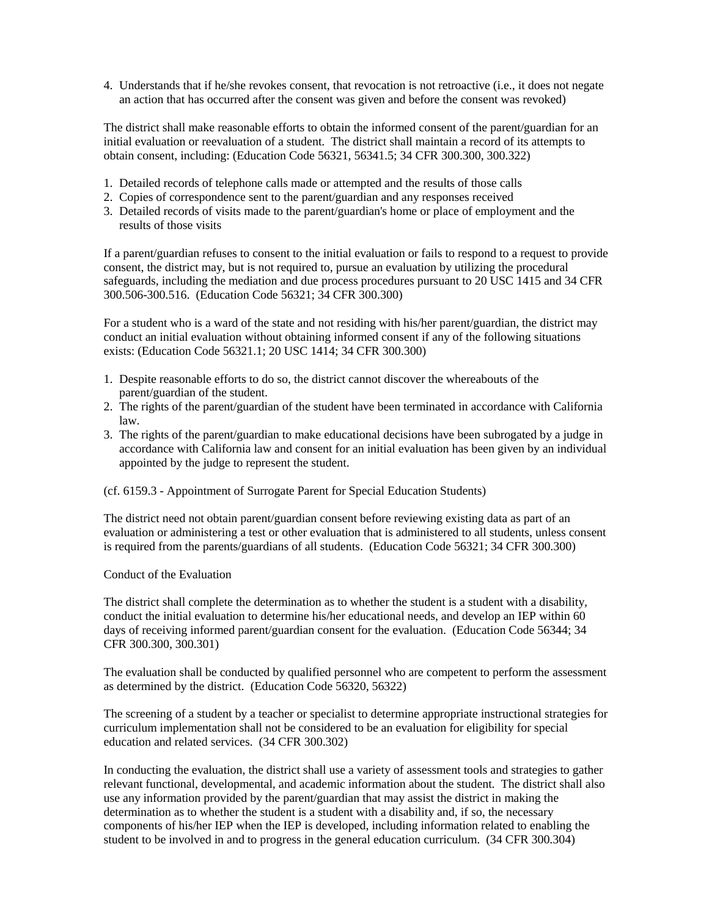4. Understands that if he/she revokes consent, that revocation is not retroactive (i.e., it does not negate an action that has occurred after the consent was given and before the consent was revoked)

The district shall make reasonable efforts to obtain the informed consent of the parent/guardian for an initial evaluation or reevaluation of a student. The district shall maintain a record of its attempts to obtain consent, including: (Education Code 56321, 56341.5; 34 CFR 300.300, 300.322)

- 1. Detailed records of telephone calls made or attempted and the results of those calls
- 2. Copies of correspondence sent to the parent/guardian and any responses received
- 3. Detailed records of visits made to the parent/guardian's home or place of employment and the results of those visits

If a parent/guardian refuses to consent to the initial evaluation or fails to respond to a request to provide consent, the district may, but is not required to, pursue an evaluation by utilizing the procedural safeguards, including the mediation and due process procedures pursuant to 20 USC 1415 and 34 CFR 300.506-300.516. (Education Code 56321; 34 CFR 300.300)

For a student who is a ward of the state and not residing with his/her parent/guardian, the district may conduct an initial evaluation without obtaining informed consent if any of the following situations exists: (Education Code 56321.1; 20 USC 1414; 34 CFR 300.300)

- 1. Despite reasonable efforts to do so, the district cannot discover the whereabouts of the parent/guardian of the student.
- 2. The rights of the parent/guardian of the student have been terminated in accordance with California law.
- 3. The rights of the parent/guardian to make educational decisions have been subrogated by a judge in accordance with California law and consent for an initial evaluation has been given by an individual appointed by the judge to represent the student.

# (cf. 6159.3 - Appointment of Surrogate Parent for Special Education Students)

The district need not obtain parent/guardian consent before reviewing existing data as part of an evaluation or administering a test or other evaluation that is administered to all students, unless consent is required from the parents/guardians of all students. (Education Code 56321; 34 CFR 300.300)

#### Conduct of the Evaluation

The district shall complete the determination as to whether the student is a student with a disability, conduct the initial evaluation to determine his/her educational needs, and develop an IEP within 60 days of receiving informed parent/guardian consent for the evaluation. (Education Code 56344; 34 CFR 300.300, 300.301)

The evaluation shall be conducted by qualified personnel who are competent to perform the assessment as determined by the district. (Education Code 56320, 56322)

The screening of a student by a teacher or specialist to determine appropriate instructional strategies for curriculum implementation shall not be considered to be an evaluation for eligibility for special education and related services. (34 CFR 300.302)

In conducting the evaluation, the district shall use a variety of assessment tools and strategies to gather relevant functional, developmental, and academic information about the student. The district shall also use any information provided by the parent/guardian that may assist the district in making the determination as to whether the student is a student with a disability and, if so, the necessary components of his/her IEP when the IEP is developed, including information related to enabling the student to be involved in and to progress in the general education curriculum. (34 CFR 300.304)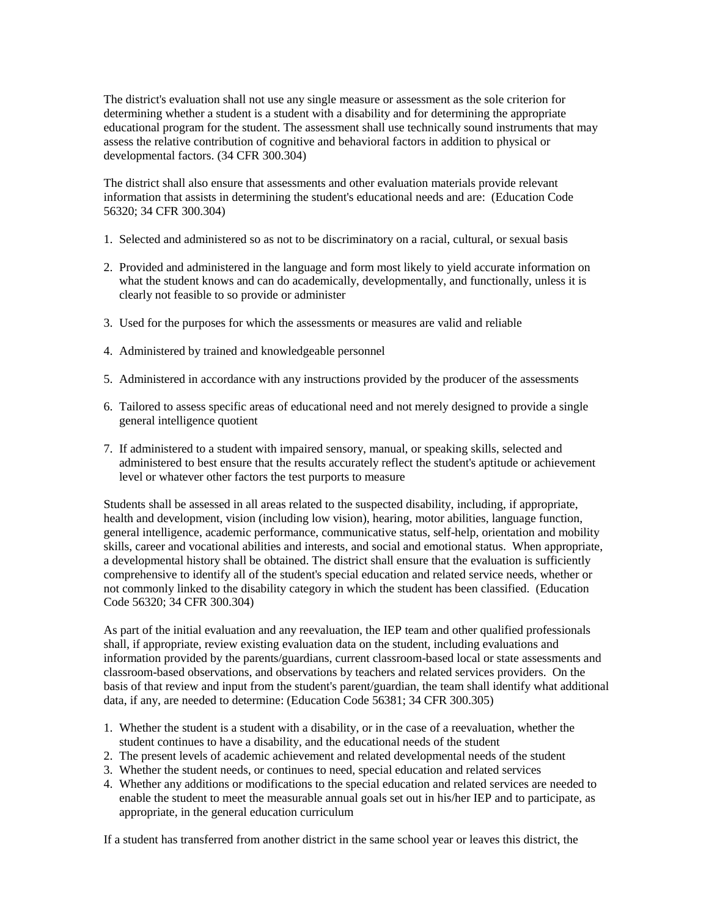The district's evaluation shall not use any single measure or assessment as the sole criterion for determining whether a student is a student with a disability and for determining the appropriate educational program for the student. The assessment shall use technically sound instruments that may assess the relative contribution of cognitive and behavioral factors in addition to physical or developmental factors. (34 CFR 300.304)

The district shall also ensure that assessments and other evaluation materials provide relevant information that assists in determining the student's educational needs and are: (Education Code 56320; 34 CFR 300.304)

- 1. Selected and administered so as not to be discriminatory on a racial, cultural, or sexual basis
- 2. Provided and administered in the language and form most likely to yield accurate information on what the student knows and can do academically, developmentally, and functionally, unless it is clearly not feasible to so provide or administer
- 3. Used for the purposes for which the assessments or measures are valid and reliable
- 4. Administered by trained and knowledgeable personnel
- 5. Administered in accordance with any instructions provided by the producer of the assessments
- 6. Tailored to assess specific areas of educational need and not merely designed to provide a single general intelligence quotient
- 7. If administered to a student with impaired sensory, manual, or speaking skills, selected and administered to best ensure that the results accurately reflect the student's aptitude or achievement level or whatever other factors the test purports to measure

Students shall be assessed in all areas related to the suspected disability, including, if appropriate, health and development, vision (including low vision), hearing, motor abilities, language function, general intelligence, academic performance, communicative status, self-help, orientation and mobility skills, career and vocational abilities and interests, and social and emotional status. When appropriate, a developmental history shall be obtained. The district shall ensure that the evaluation is sufficiently comprehensive to identify all of the student's special education and related service needs, whether or not commonly linked to the disability category in which the student has been classified. (Education Code 56320; 34 CFR 300.304)

As part of the initial evaluation and any reevaluation, the IEP team and other qualified professionals shall, if appropriate, review existing evaluation data on the student, including evaluations and information provided by the parents/guardians, current classroom-based local or state assessments and classroom-based observations, and observations by teachers and related services providers. On the basis of that review and input from the student's parent/guardian, the team shall identify what additional data, if any, are needed to determine: (Education Code 56381; 34 CFR 300.305)

- 1. Whether the student is a student with a disability, or in the case of a reevaluation, whether the student continues to have a disability, and the educational needs of the student
- 2. The present levels of academic achievement and related developmental needs of the student
- 3. Whether the student needs, or continues to need, special education and related services
- 4. Whether any additions or modifications to the special education and related services are needed to enable the student to meet the measurable annual goals set out in his/her IEP and to participate, as appropriate, in the general education curriculum

If a student has transferred from another district in the same school year or leaves this district, the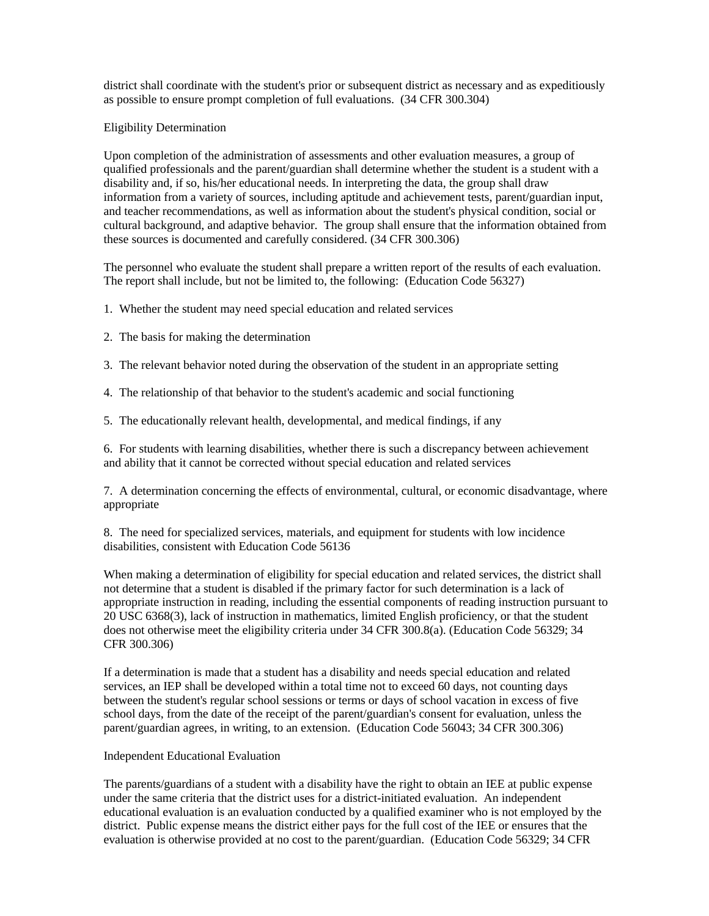district shall coordinate with the student's prior or subsequent district as necessary and as expeditiously as possible to ensure prompt completion of full evaluations. (34 CFR 300.304)

# Eligibility Determination

Upon completion of the administration of assessments and other evaluation measures, a group of qualified professionals and the parent/guardian shall determine whether the student is a student with a disability and, if so, his/her educational needs. In interpreting the data, the group shall draw information from a variety of sources, including aptitude and achievement tests, parent/guardian input, and teacher recommendations, as well as information about the student's physical condition, social or cultural background, and adaptive behavior. The group shall ensure that the information obtained from these sources is documented and carefully considered. (34 CFR 300.306)

The personnel who evaluate the student shall prepare a written report of the results of each evaluation. The report shall include, but not be limited to, the following: (Education Code 56327)

- 1. Whether the student may need special education and related services
- 2. The basis for making the determination
- 3. The relevant behavior noted during the observation of the student in an appropriate setting
- 4. The relationship of that behavior to the student's academic and social functioning
- 5. The educationally relevant health, developmental, and medical findings, if any

6. For students with learning disabilities, whether there is such a discrepancy between achievement and ability that it cannot be corrected without special education and related services

7. A determination concerning the effects of environmental, cultural, or economic disadvantage, where appropriate

8. The need for specialized services, materials, and equipment for students with low incidence disabilities, consistent with Education Code 56136

When making a determination of eligibility for special education and related services, the district shall not determine that a student is disabled if the primary factor for such determination is a lack of appropriate instruction in reading, including the essential components of reading instruction pursuant to 20 USC 6368(3), lack of instruction in mathematics, limited English proficiency, or that the student does not otherwise meet the eligibility criteria under 34 CFR 300.8(a). (Education Code 56329; 34 CFR 300.306)

If a determination is made that a student has a disability and needs special education and related services, an IEP shall be developed within a total time not to exceed 60 days, not counting days between the student's regular school sessions or terms or days of school vacation in excess of five school days, from the date of the receipt of the parent/guardian's consent for evaluation, unless the parent/guardian agrees, in writing, to an extension. (Education Code 56043; 34 CFR 300.306)

# Independent Educational Evaluation

The parents/guardians of a student with a disability have the right to obtain an IEE at public expense under the same criteria that the district uses for a district-initiated evaluation. An independent educational evaluation is an evaluation conducted by a qualified examiner who is not employed by the district. Public expense means the district either pays for the full cost of the IEE or ensures that the evaluation is otherwise provided at no cost to the parent/guardian. (Education Code 56329; 34 CFR